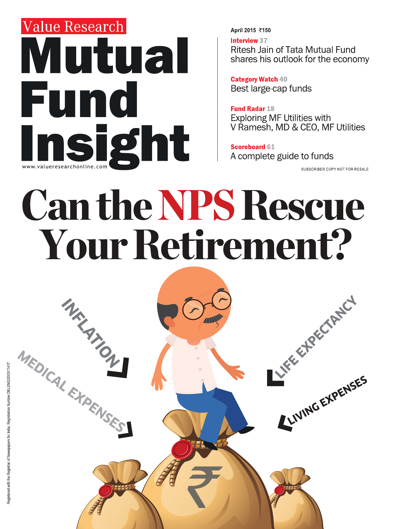## Value Research Mutual Fund WWW.valueresearchonline.com

#### April 2015 ₹150

**Interview 37 Ritesh Jain of Tata Mutual Fund** shares his outlook for the economy

**Category Watch 40** Best large-cap funds

**Fund Radar 18 Exploring MF Utilities with** V Ramesh, MD & CEO, MF Utilities

**Scoreboard 61** A complete guide to funds

SUBSCRIBER COPY NOT FOR RESALE

# **Can the NPS Rescue** Your Retirement?

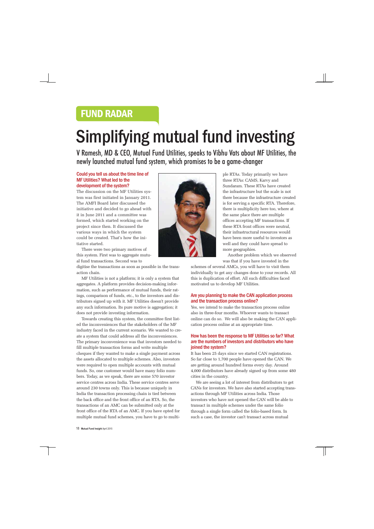### FUND RADAR

## Simplifying mutual fund investing

V Ramesh, MD & CEO, Mutual Fund Utilities, speaks to Vibhu Vats about MF Utilities, the newly launched mutual fund system, which promises to be a game-changer

#### Could you tell us about the time line of MF Utilities? What led to the development of the system?

The discussion on the MF Utilities system was first initiated in January 2011. The AMFI Board later discussed the initiative and decided to go ahead with it in June 2011 and a committee was formed, which started working on the project since then. It discussed the various ways in which the system could be created. That's how the initiative started.

There were two primary motives of this system. First was to aggregate mutual fund transactions. Second was to

digitise the transactions as soon as possible in the transaction chain.

MF Utilities is not a platform; it is only a system that aggregates. A platform provides decision-making information, such as performance of mutual funds, their ratings, comparison of funds, etc., to the investors and distributors signed up with it. MF Utilities doesn't provide any such information. Its pure motive is aggregation; it does not provide investing information.

Towards creating this system, the committee first listed the inconveniences that the stakeholders of the MF industry faced in the current scenario. We wanted to create a system that could address all the inconveniences. The primary inconvenience was that investors needed to fill multiple transaction forms and write multiple cheques if they wanted to make a single payment across the assets allocated to multiple schemes. Also, investors were required to open multiple accounts with mutual funds. So, one customer would have many folio numbers. Today, as we speak, there are some 570 investor service centres across India. These service centres serve around 230 towns only. This is because uniquely in India the transaction processing chain is tied between the back office and the front office of an RTA. So, the transactions of an AMC can be submitted only at the front office of the RTA of an AMC. If you have opted for multiple mutual fund schemes, you have to go to multi-



ple RTAs. Today primarily we have three RTAs: CAMS, Karvy and Sundaram. These RTAs have created the infrastructure but the scale is not there because the infrastructure created is for serving a specific RTA. Therefore, there is multiplicity here too, where at the same place there are multiple offices accepting MF transactions. If these RTA front offices were neutral, their infrastructural resources would have been more useful to investors as well and they could have spread to more geographies.

Another problem which we observed was that if you have invested in the

schemes of several AMCs, you will have to visit them individually to get any changes done to your records. All this is duplication of effort. All such difficulties faced motivated us to develop MF Utilities.

#### Are you planning to make the CAN application process and the transaction process online?

Yes, we intend to make the transaction process online also in three-four months. Whoever wants to transact online can do so. We will also be making the CAN application process online at an appropriate time.

#### How has been the response to MF Utilities so far? What are the numbers of investors and distributors who have joined the system?

It has been 25 days since we started CAN registrations. So far close to 1,700 people have opened the CAN. We are getting around hundred forms every day. Around 4,000 distributors have already signed up from some 480 cities in the country.

We are seeing a lot of interest from distributors to get CANs for investors. We have also started accepting transactions through MF Utilities across India. Those investors who have not opened the CAN will be able to transact in multiple schemes under the same folio through a single form called the folio-based form. In such a case, the investor can't transact across mutual